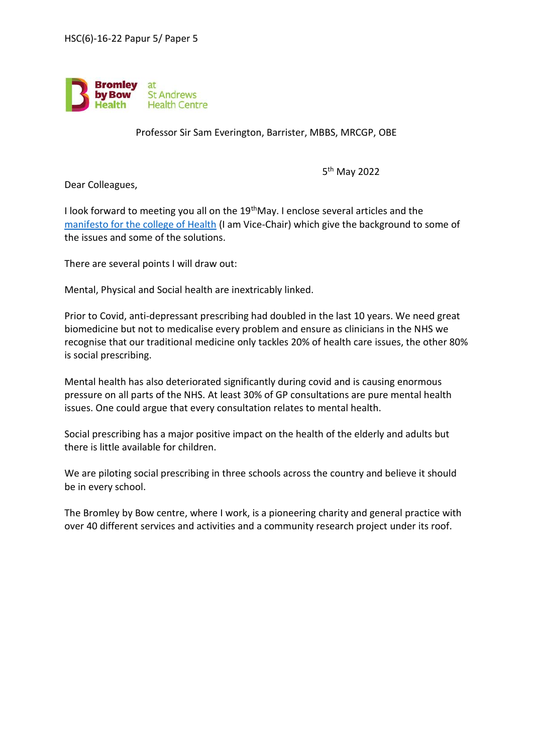

Professor Sir Sam Everington, Barrister, MBBS, MRCGP, OBE

5 th May 2022

Dear Colleagues,

I look forward to meeting you all on the 19thMay. I enclose several articles and the [manifesto for the college of Health](https://collegeofmedicine.org.uk/wp-content/uploads/2021/05/The-Manifesto-Final_2021.pdf) (I am Vice-Chair) which give the background to some of the issues and some of the solutions.

There are several points I will draw out:

Mental, Physical and Social health are inextricably linked.

Prior to Covid, anti-depressant prescribing had doubled in the last 10 years. We need great biomedicine but not to medicalise every problem and ensure as clinicians in the NHS we recognise that our traditional medicine only tackles 20% of health care issues, the other 80% is social prescribing.

Mental health has also deteriorated significantly during covid and is causing enormous pressure on all parts of the NHS. At least 30% of GP consultations are pure mental health issues. One could argue that every consultation relates to mental health.

Social prescribing has a major positive impact on the health of the elderly and adults but there is little available for children.

We are piloting social prescribing in three schools across the country and believe it should be in every school.

The Bromley by Bow centre, where I work, is a pioneering charity and general practice with over 40 different services and activities and a community research project under its roof.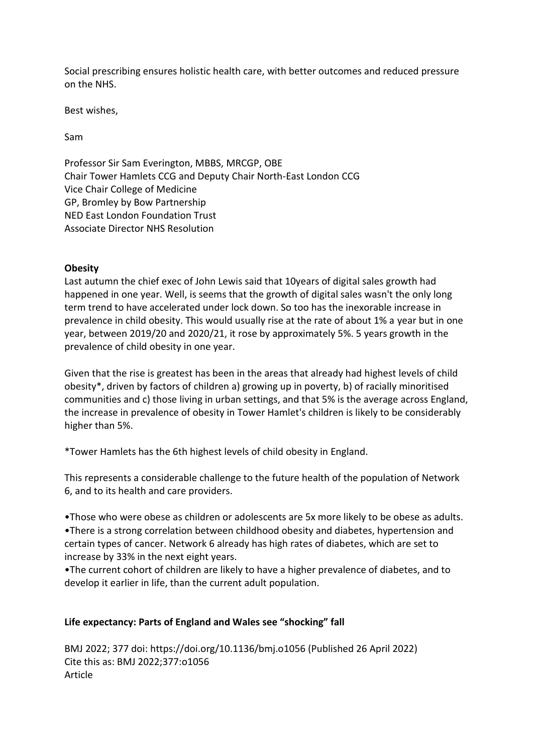Social prescribing ensures holistic health care, with better outcomes and reduced pressure on the NHS.

Best wishes,

Sam

Professor Sir Sam Everington, MBBS, MRCGP, OBE Chair Tower Hamlets CCG and Deputy Chair North-East London CCG Vice Chair College of Medicine GP, Bromley by Bow Partnership NED East London Foundation Trust Associate Director NHS Resolution

## **Obesity**

Last autumn the chief exec of John Lewis said that 10years of digital sales growth had happened in one year. Well, is seems that the growth of digital sales wasn't the only long term trend to have accelerated under lock down. So too has the inexorable increase in prevalence in child obesity. This would usually rise at the rate of about 1% a year but in one year, between 2019/20 and 2020/21, it rose by approximately 5%. 5 years growth in the prevalence of child obesity in one year.

Given that the rise is greatest has been in the areas that already had highest levels of child obesity\*, driven by factors of children a) growing up in poverty, b) of racially minoritised communities and c) those living in urban settings, and that 5% is the average across England, the increase in prevalence of obesity in Tower Hamlet's children is likely to be considerably higher than 5%.

\*Tower Hamlets has the 6th highest levels of child obesity in England.

This represents a considerable challenge to the future health of the population of Network 6, and to its health and care providers.

•Those who were obese as children or adolescents are 5x more likely to be obese as adults. •There is a strong correlation between childhood obesity and diabetes, hypertension and certain types of cancer. Network 6 already has high rates of diabetes, which are set to increase by 33% in the next eight years.

•The current cohort of children are likely to have a higher prevalence of diabetes, and to develop it earlier in life, than the current adult population.

## **Life expectancy: Parts of England and Wales see "shocking" fall**

BMJ 2022; 377 doi: https://doi.org/10.1136/bmj.o1056 (Published 26 April 2022) Cite this as: BMJ 2022;377:o1056 Article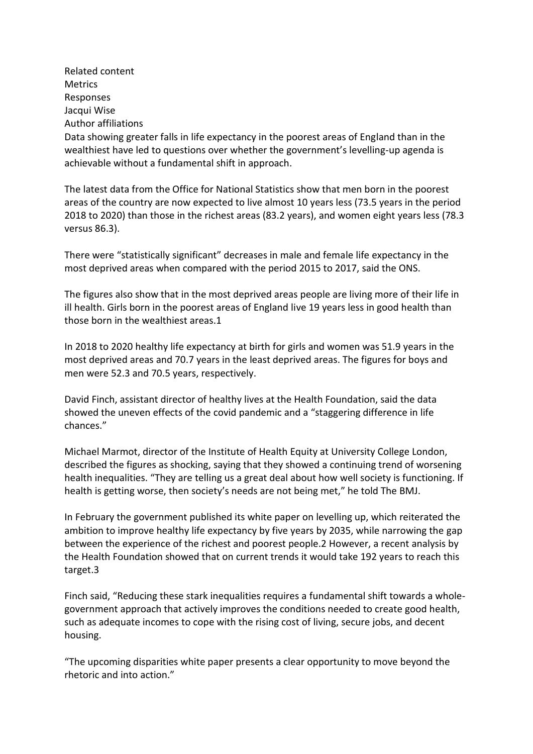Related content Metrics Responses Jacqui Wise Author affiliations Data showing greater falls in life expectancy in the poorest areas of England than in the wealthiest have led to questions over whether the government's levelling-up agenda is achievable without a fundamental shift in approach.

The latest data from the Office for National Statistics show that men born in the poorest areas of the country are now expected to live almost 10 years less (73.5 years in the period 2018 to 2020) than those in the richest areas (83.2 years), and women eight years less (78.3 versus 86.3).

There were "statistically significant" decreases in male and female life expectancy in the most deprived areas when compared with the period 2015 to 2017, said the ONS.

The figures also show that in the most deprived areas people are living more of their life in ill health. Girls born in the poorest areas of England live 19 years less in good health than those born in the wealthiest areas.1

In 2018 to 2020 healthy life expectancy at birth for girls and women was 51.9 years in the most deprived areas and 70.7 years in the least deprived areas. The figures for boys and men were 52.3 and 70.5 years, respectively.

David Finch, assistant director of healthy lives at the Health Foundation, said the data showed the uneven effects of the covid pandemic and a "staggering difference in life chances."

Michael Marmot, director of the Institute of Health Equity at University College London, described the figures as shocking, saying that they showed a continuing trend of worsening health inequalities. "They are telling us a great deal about how well society is functioning. If health is getting worse, then society's needs are not being met," he told The BMJ.

In February the government published its white paper on levelling up, which reiterated the ambition to improve healthy life expectancy by five years by 2035, while narrowing the gap between the experience of the richest and poorest people.2 However, a recent analysis by the Health Foundation showed that on current trends it would take 192 years to reach this target.3

Finch said, "Reducing these stark inequalities requires a fundamental shift towards a wholegovernment approach that actively improves the conditions needed to create good health, such as adequate incomes to cope with the rising cost of living, secure jobs, and decent housing.

"The upcoming disparities white paper presents a clear opportunity to move beyond the rhetoric and into action."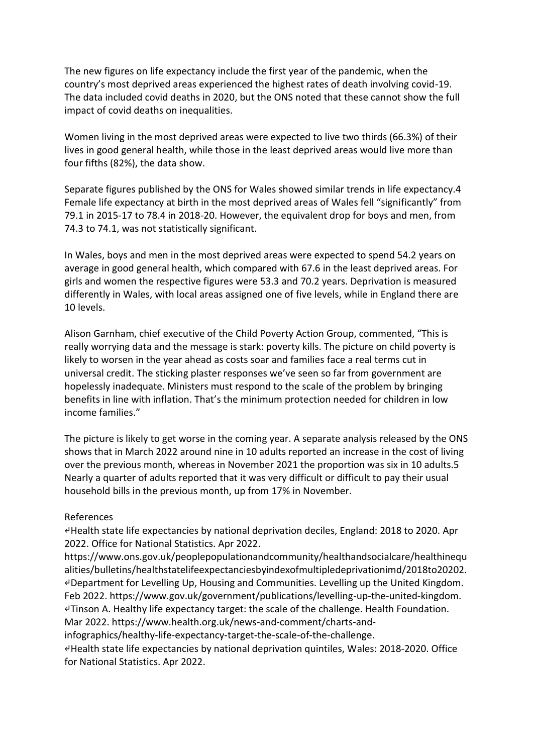The new figures on life expectancy include the first year of the pandemic, when the country's most deprived areas experienced the highest rates of death involving covid-19. The data included covid deaths in 2020, but the ONS noted that these cannot show the full impact of covid deaths on inequalities.

Women living in the most deprived areas were expected to live two thirds (66.3%) of their lives in good general health, while those in the least deprived areas would live more than four fifths (82%), the data show.

Separate figures published by the ONS for Wales showed similar trends in life expectancy.4 Female life expectancy at birth in the most deprived areas of Wales fell "significantly" from 79.1 in 2015-17 to 78.4 in 2018-20. However, the equivalent drop for boys and men, from 74.3 to 74.1, was not statistically significant.

In Wales, boys and men in the most deprived areas were expected to spend 54.2 years on average in good general health, which compared with 67.6 in the least deprived areas. For girls and women the respective figures were 53.3 and 70.2 years. Deprivation is measured differently in Wales, with local areas assigned one of five levels, while in England there are 10 levels.

Alison Garnham, chief executive of the Child Poverty Action Group, commented, "This is really worrying data and the message is stark: poverty kills. The picture on child poverty is likely to worsen in the year ahead as costs soar and families face a real terms cut in universal credit. The sticking plaster responses we've seen so far from government are hopelessly inadequate. Ministers must respond to the scale of the problem by bringing benefits in line with inflation. That's the minimum protection needed for children in low income families."

The picture is likely to get worse in the coming year. A separate analysis released by the ONS shows that in March 2022 around nine in 10 adults reported an increase in the cost of living over the previous month, whereas in November 2021 the proportion was six in 10 adults.5 Nearly a quarter of adults reported that it was very difficult or difficult to pay their usual household bills in the previous month, up from 17% in November.

## References

↵Health state life expectancies by national deprivation deciles, England: 2018 to 2020. Apr 2022. Office for National Statistics. Apr 2022.

https://www.ons.gov.uk/peoplepopulationandcommunity/healthandsocialcare/healthinequ alities/bulletins/healthstatelifeexpectanciesbyindexofmultipledeprivationimd/2018to20202. ↵Department for Levelling Up, Housing and Communities. Levelling up the United Kingdom. Feb 2022. https://www.gov.uk/government/publications/levelling-up-the-united-kingdom. ↵Tinson A. Healthy life expectancy target: the scale of the challenge. Health Foundation. Mar 2022. https://www.health.org.uk/news-and-comment/charts-and-

infographics/healthy-life-expectancy-target-the-scale-of-the-challenge.

↵Health state life expectancies by national deprivation quintiles, Wales: 2018-2020. Office for National Statistics. Apr 2022.